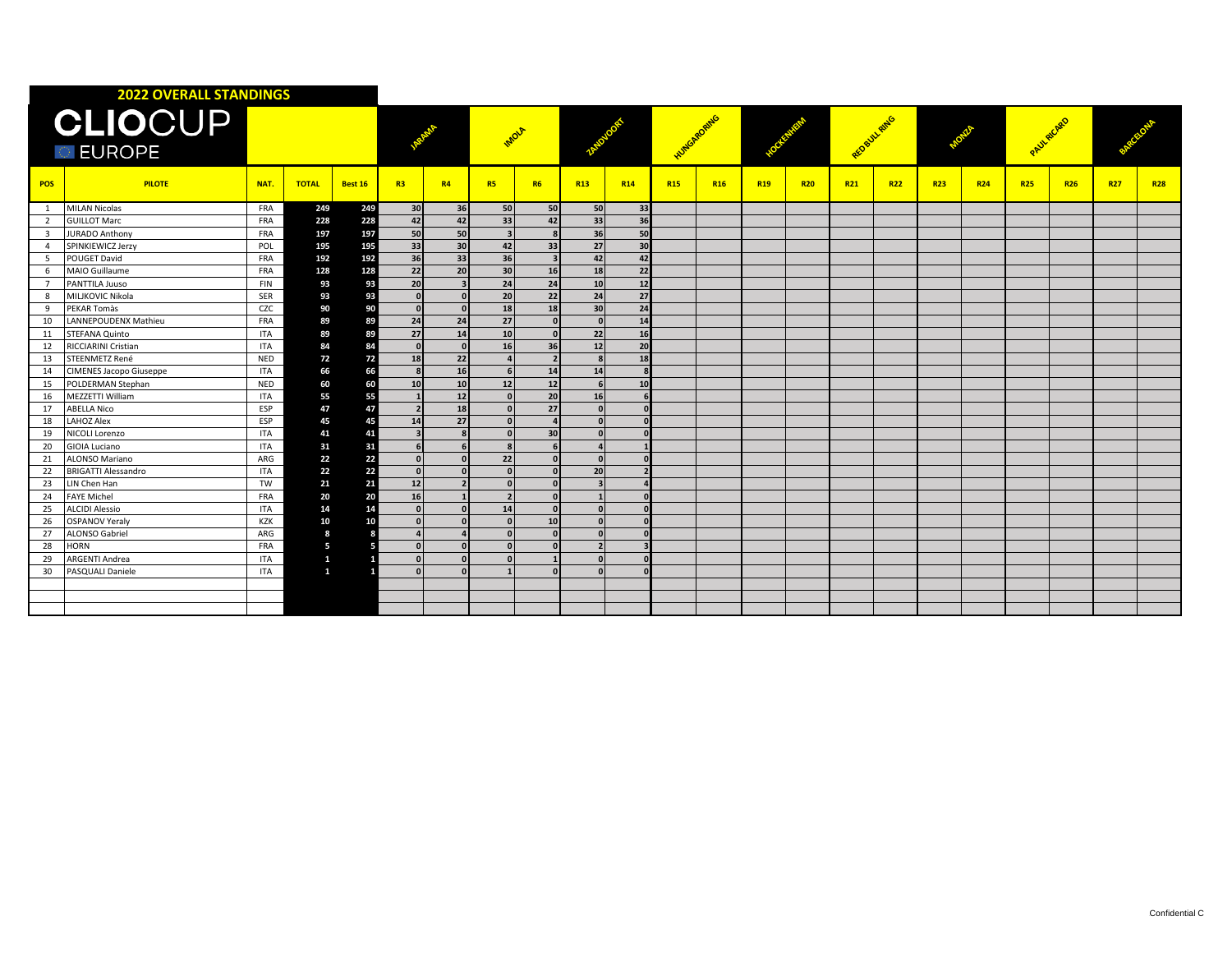|                                 | <b>2022 OVERALL STANDINGS</b>  |            |              |         |                          |              |                          |                          |                          |            |                      |            |                 |            |              |            |            |            |            |            |            |            |
|---------------------------------|--------------------------------|------------|--------------|---------|--------------------------|--------------|--------------------------|--------------------------|--------------------------|------------|----------------------|------------|-----------------|------------|--------------|------------|------------|------------|------------|------------|------------|------------|
| <b>CLIOCUP</b><br><b>EUROPE</b> |                                |            |              |         |                          |              | MOLA                     |                          |                          |            | <b>Huntopropring</b> |            |                 |            | REDBUILTRING |            |            |            | PAULAICARD |            |            |            |
| <b>POS</b>                      | <b>PILOTE</b>                  | NAT.       | <b>TOTAL</b> | Best 16 | R3                       | <b>R4</b>    | <b>R5</b>                | <b>R6</b>                | <b>R13</b>               | <b>R14</b> | <b>R15</b>           | <b>R16</b> | R <sub>19</sub> | <b>R20</b> | <b>R21</b>   | <b>R22</b> | <b>R23</b> | <b>R24</b> | <b>R25</b> | <b>R26</b> | <b>R27</b> | <b>R28</b> |
|                                 | <b>MILAN Nicolas</b>           | FRA        | 249          | 249     | 30 <sup>1</sup>          | 36           | 50                       | 50                       | 50                       | 33         |                      |            |                 |            |              |            |            |            |            |            |            |            |
| 2                               | <b>GUILLOT Marc</b>            | FRA        | 228          | 228     | 42                       | 42           | 33                       | 42                       | 33                       | 36         |                      |            |                 |            |              |            |            |            |            |            |            |            |
| $\overline{\mathbf{3}}$         | JURADO Anthony                 | <b>FRA</b> | 197          | 197     | 50                       | 50           | $\overline{\mathbf{a}}$  |                          | 36                       | 50         |                      |            |                 |            |              |            |            |            |            |            |            |            |
| $\overline{4}$                  | SPINKIEWICZ Jerzy              | POL        | 195          | 195     | 33                       | 30           | 42                       | 33                       | 27                       | 30         |                      |            |                 |            |              |            |            |            |            |            |            |            |
| 5                               | <b>POUGET David</b>            | FRA        | 192          | 192     | 36                       | 33           | 36                       |                          | 42                       | 42         |                      |            |                 |            |              |            |            |            |            |            |            |            |
| 6                               | MAIO Guillaume                 | FRA        | 128          | 128     | 22                       | 20           | 30                       | 16                       | 18                       | 22         |                      |            |                 |            |              |            |            |            |            |            |            |            |
| $\overline{7}$                  | PANTTILA Juuso                 | FIN        | 93           | 93      | 20                       |              | 24                       | 24                       | 10 <sup>1</sup>          | 12         |                      |            |                 |            |              |            |            |            |            |            |            |            |
| 8                               | <b>MILIKOVIC Nikola</b>        | SER        | 93           | 93      |                          |              | 20                       | 22                       | 24                       | 27         |                      |            |                 |            |              |            |            |            |            |            |            |            |
| 9                               | PEKAR Tomàs                    | CZC        | 90           | 90      | $\Omega$                 | $\Omega$     | 18                       | 18                       | 30                       | 24         |                      |            |                 |            |              |            |            |            |            |            |            |            |
| 10                              | LANNEPOUDENX Mathieu           | FRA        | 89           | 89      | 24                       | 24           | 27                       | $\Omega$                 | $\Omega$                 | 14         |                      |            |                 |            |              |            |            |            |            |            |            |            |
| 11                              | STEFANA Quinto                 | ITA        | 89           | 89      | 27                       | 14           | 10                       | n                        | 22                       | 16         |                      |            |                 |            |              |            |            |            |            |            |            |            |
| 12                              | <b>RICCIARINI Cristian</b>     | <b>ITA</b> | 84           | 84      |                          | $\mathbf{r}$ | <b>16</b>                | 36                       | 12                       | 20         |                      |            |                 |            |              |            |            |            |            |            |            |            |
| 13                              | STEENMETZ René                 | <b>NED</b> | 72           | 72      | 18                       | 22           |                          | $\overline{\phantom{a}}$ | $\mathbf{R}$             | 18         |                      |            |                 |            |              |            |            |            |            |            |            |            |
| 14                              | <b>CIMENES Jacopo Giuseppe</b> | <b>ITA</b> | 66           | 66      |                          | 16           |                          | 14                       | 14                       |            |                      |            |                 |            |              |            |            |            |            |            |            |            |
| 15                              | POLDERMAN Stephan              | NED        | 60           | 60      | 10                       | 10           | 12                       | 12                       | 6                        | 10         |                      |            |                 |            |              |            |            |            |            |            |            |            |
| 16                              | MEZZETTI William               | <b>ITA</b> | 55           | 55      |                          | 12           |                          | 20                       | 16                       |            |                      |            |                 |            |              |            |            |            |            |            |            |            |
| 17                              | <b>ABELLA Nico</b>             | ESP        | 47           | 47      | $\overline{\phantom{a}}$ | 18           | $\Omega$                 | 27                       | $\Omega$                 |            |                      |            |                 |            |              |            |            |            |            |            |            |            |
| 18                              | <b>LAHOZ Alex</b>              | ESP        | 45           | 45      | 14                       | 27           | $\mathbf{0}$             |                          | $\Omega$                 |            |                      |            |                 |            |              |            |            |            |            |            |            |            |
| 19                              | <b>NICOLI Lorenzo</b>          | <b>ITA</b> | 41           | 41      | $\overline{\mathbf{3}}$  |              | $\Omega$                 | 30                       | $\Omega$                 |            |                      |            |                 |            |              |            |            |            |            |            |            |            |
| 20                              | <b>GIOIA Luciano</b>           | ITA        | 31           | 31      |                          |              |                          |                          | $\overline{ }$           |            |                      |            |                 |            |              |            |            |            |            |            |            |            |
| 21                              | ALONSO Mariano                 | ARG        | 22           | 22      | $\Omega$                 |              | 22                       |                          | $\Omega$                 |            |                      |            |                 |            |              |            |            |            |            |            |            |            |
| 22                              | <b>BRIGATTI Alessandro</b>     | <b>ITA</b> | 22           | 22      | $\mathbf{0}$             |              | $\sqrt{ }$               |                          | 20                       |            |                      |            |                 |            |              |            |            |            |            |            |            |            |
| 23                              | LIN Chen Han                   | TW         | 21           | 21      | 12                       |              | $\sqrt{ }$               |                          | $\overline{\mathbf{3}}$  |            |                      |            |                 |            |              |            |            |            |            |            |            |            |
| 24                              | <b>FAYE Michel</b>             | FRA        | 20           | 20      | 16                       |              | $\overline{\phantom{a}}$ |                          |                          |            |                      |            |                 |            |              |            |            |            |            |            |            |            |
| 25                              | <b>ALCIDI Alessio</b>          | <b>ITA</b> | 14           | 14      | $\Omega$                 |              | 14                       |                          | n                        |            |                      |            |                 |            |              |            |            |            |            |            |            |            |
| 26                              | <b>OSPANOV Yeraly</b>          | KZK        | 10           | 10      | $\Omega$                 |              | $\sqrt{ }$               | 10                       | $\Omega$                 |            |                      |            |                 |            |              |            |            |            |            |            |            |            |
| 27                              | <b>ALONSO Gabriel</b>          | ARG        | 8            |         |                          |              |                          |                          | $\Omega$                 |            |                      |            |                 |            |              |            |            |            |            |            |            |            |
| 28                              | <b>HORN</b>                    | <b>FRA</b> | 5            |         | $\mathbf{0}$             |              |                          |                          | $\overline{\phantom{a}}$ |            |                      |            |                 |            |              |            |            |            |            |            |            |            |
| 29                              | <b>ARGENTI Andrea</b>          | <b>ITA</b> | $\mathbf{1}$ |         |                          |              |                          |                          |                          |            |                      |            |                 |            |              |            |            |            |            |            |            |            |
| 30                              | PASQUALI Daniele               | ITA        | $\mathbf{1}$ |         |                          |              |                          |                          |                          |            |                      |            |                 |            |              |            |            |            |            |            |            |            |
|                                 |                                |            |              |         |                          |              |                          |                          |                          |            |                      |            |                 |            |              |            |            |            |            |            |            |            |
|                                 |                                |            |              |         |                          |              |                          |                          |                          |            |                      |            |                 |            |              |            |            |            |            |            |            |            |
|                                 |                                |            |              |         |                          |              |                          |                          |                          |            |                      |            |                 |            |              |            |            |            |            |            |            |            |